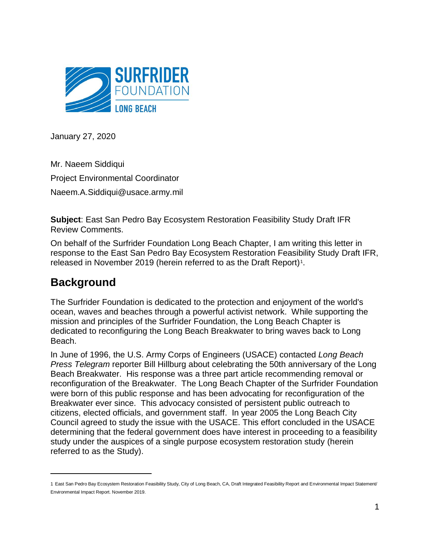

January 27, 2020

Mr. Naeem Siddiqui Project Environmental Coordinator Naeem.A.Siddiqui@usace.army.mil

**Subject**: East San Pedro Bay Ecosystem Restoration Feasibility Study Draft IFR Review Comments.

On behalf of the Surfrider Foundation Long Beach Chapter, I am writing this letter in response to the East San Pedro Bay Ecosystem Restoration Feasibility Study Draft IFR, released in November 2019 (herein referred to as the Draft Report)<sup>1</sup>.

### **Background**

 $\overline{a}$ 

The Surfrider Foundation is dedicated to the protection and enjoyment of the world's ocean, waves and beaches through a powerful activist network. While supporting the mission and principles of the Surfrider Foundation, the Long Beach Chapter is dedicated to reconfiguring the Long Beach Breakwater to bring waves back to Long Beach.

In June of 1996, the U.S. Army Corps of Engineers (USACE) contacted *Long Beach Press Telegram* reporter Bill Hillburg about celebrating the 50th anniversary of the Long Beach Breakwater. His response was a three part article recommending removal or reconfiguration of the Breakwater. The Long Beach Chapter of the Surfrider Foundation were born of this public response and has been advocating for reconfiguration of the Breakwater ever since. This advocacy consisted of persistent public outreach to citizens, elected officials, and government staff. In year 2005 the Long Beach City Council agreed to study the issue with the USACE. This effort concluded in the USACE determining that the federal government does have interest in proceeding to a feasibility study under the auspices of a single purpose ecosystem restoration study (herein referred to as the Study).

<sup>1</sup> East San Pedro Bay Ecosystem Restoration Feasibility Study, City of Long Beach, CA, Draft Integrated Feasibility Report and Environmental Impact Statement/ Environmental Impact Report. November 2019.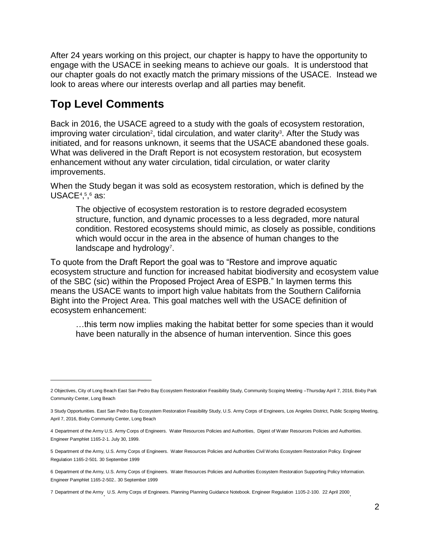After 24 years working on this project, our chapter is happy to have the opportunity to engage with the USACE in seeking means to achieve our goals. It is understood that our chapter goals do not exactly match the primary missions of the USACE. Instead we look to areas where our interests overlap and all parties may benefit.

#### **Top Level Comments**

 $\overline{a}$ 

Back in 2016, the USACE agreed to a study with the goals of ecosystem restoration, improving water circulation<sup>2</sup>, tidal circulation, and water clarity<sup>3</sup>. After the Study was initiated, and for reasons unknown, it seems that the USACE abandoned these goals. What was delivered in the Draft Report is not ecosystem restoration, but ecosystem enhancement without any water circulation, tidal circulation, or water clarity improvements.

When the Study began it was sold as ecosystem restoration, which is defined by the USACE $4,5,6$  as:

The objective of ecosystem restoration is to restore degraded ecosystem structure, function, and dynamic processes to a less degraded, more natural condition. Restored ecosystems should mimic, as closely as possible, conditions which would occur in the area in the absence of human changes to the landscape and hydrology<sup>7</sup>.

To quote from the Draft Report the goal was to "Restore and improve aquatic ecosystem structure and function for increased habitat biodiversity and ecosystem value of the SBC (sic) within the Proposed Project Area of ESPB." In laymen terms this means the USACE wants to import high value habitats from the Southern California Bight into the Project Area. This goal matches well with the USACE definition of ecosystem enhancement:

…this term now implies making the habitat better for some species than it would have been naturally in the absence of human intervention. Since this goes

<sup>2</sup> Objectives, City of Long Beach East San Pedro Bay Ecosystem Restoration Feasibility Study, Community Scoping Meeting –Thursday April 7, 2016, Bixby Park Community Center, Long Beach

<sup>3</sup> Study Opportunities. East San Pedro Bay Ecosystem Restoration Feasibility Study, U.S. Army Corps of Engineers, Los Angeles District, Public Scoping Meeting, April 7, 2016, Bixby Community Center, Long Beach

<sup>4</sup> Department of the Army U.S. Army Corps of Engineers. Water Resources Policies and Authorities, Digest of Water Resources Policies and Authorities. Engineer Pamphlet 1165-2-1. July 30, 1999.

<sup>5</sup> Department of the Army, U.S. Army Corps of Engineers. Water Resources Policies and Authorities Civil Works Ecosystem Restoration Policy. Engineer Regulation 1165-2-501. 30 September 1999

<sup>6</sup> Department of the Army, U.S. Army Corps of Engineers. Water Resources Policies and Authorities Ecosystem Restoration Supporting Policy Information. Engineer Pamphlet 1165-2-502.. 30 September 1999

<sup>7</sup> Department of the Army U.S. Army Corps of Engineers. Planning Planning Guidance Notebook. Engineer Regulation 1105-2-100. 22 April 2000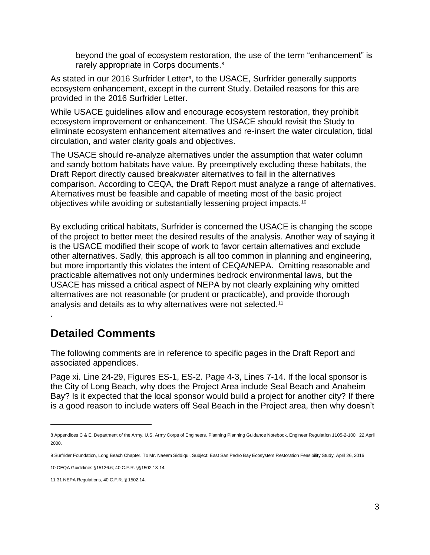beyond the goal of ecosystem restoration, the use of the term "enhancement" is rarely appropriate in Corps documents.<sup>8</sup>

As stated in our 2016 Surfrider Letter<sup>9</sup>, to the USACE, Surfrider generally supports ecosystem enhancement, except in the current Study. Detailed reasons for this are provided in the 2016 Surfrider Letter.

While USACE guidelines allow and encourage ecosystem restoration, they prohibit ecosystem improvement or enhancement. The USACE should revisit the Study to eliminate ecosystem enhancement alternatives and re-insert the water circulation, tidal circulation, and water clarity goals and objectives.

The USACE should re-analyze alternatives under the assumption that water column and sandy bottom habitats have value. By preemptively excluding these habitats, the Draft Report directly caused breakwater alternatives to fail in the alternatives comparison. According to CEQA, the Draft Report must analyze a range of alternatives. Alternatives must be feasible and capable of meeting most of the basic project objectives while avoiding or substantially lessening project impacts.<sup>10</sup>

By excluding critical habitats, Surfrider is concerned the USACE is changing the scope of the project to better meet the desired results of the analysis. Another way of saying it is the USACE modified their scope of work to favor certain alternatives and exclude other alternatives. Sadly, this approach is all too common in planning and engineering, but more importantly this violates the intent of CEQA/NEPA. Omitting reasonable and practicable alternatives not only undermines bedrock environmental laws, but the USACE has missed a critical aspect of NEPA by not clearly explaining why omitted alternatives are not reasonable (or prudent or practicable), and provide thorough analysis and details as to why alternatives were not selected.<sup>11</sup> .

#### **Detailed Comments**

The following comments are in reference to specific pages in the Draft Report and associated appendices.

Page xi. Line 24-29, Figures ES-1, ES-2. Page 4-3, Lines 7-14. If the local sponsor is the City of Long Beach, why does the Project Area include Seal Beach and Anaheim Bay? Is it expected that the local sponsor would build a project for another city? If there is a good reason to include waters off Seal Beach in the Project area, then why doesn't

 $\overline{a}$ 

<sup>8</sup> Appendices C & E. Department of the Army. U.S. Army Corps of Engineers. Planning Planning Guidance Notebook. Engineer Regulation 1105-2-100. 22 April 2000.

<sup>9</sup> Surfrider Foundation, Long Beach Chapter. To Mr. Naeem Siddiqui. Subject: East San Pedro Bay Ecosystem Restoration Feasibility Study, April 26, 2016

<sup>10</sup> CEQA Guidelines §15126.6; 40 C.F.R. §§1502.13-14.

<sup>11</sup> 31 NEPA Regulations, 40 C.F.R. § 1502.14.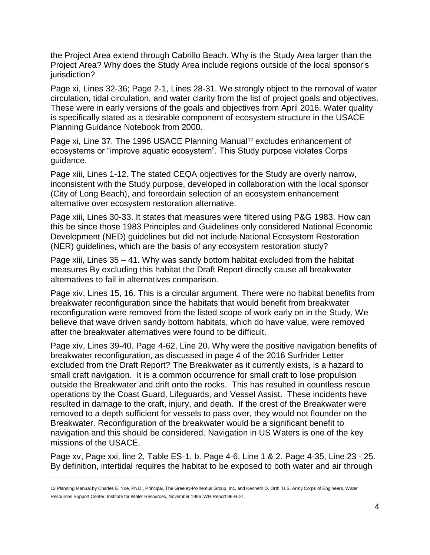the Project Area extend through Cabrillo Beach. Why is the Study Area larger than the Project Area? Why does the Study Area include regions outside of the local sponsor's jurisdiction?

Page xi, Lines 32-36; Page 2-1, Lines 28-31. We strongly object to the removal of water circulation, tidal circulation, and water clarity from the list of project goals and objectives. These were in early versions of the goals and objectives from April 2016. Water quality is specifically stated as a desirable component of ecosystem structure in the USACE Planning Guidance Notebook from 2000.

Page xi, Line 37. The 1996 USACE Planning Manual<sup>12</sup> excludes enhancement of ecosystems or "improve aquatic ecosystem". This Study purpose violates Corps guidance.

Page xiii, Lines 1-12. The stated CEQA objectives for the Study are overly narrow, inconsistent with the Study purpose, developed in collaboration with the local sponsor (City of Long Beach), and foreordain selection of an ecosystem enhancement alternative over ecosystem restoration alternative.

Page xiii, Lines 30-33. It states that measures were filtered using P&G 1983. How can this be since those 1983 Principles and Guidelines only considered National Economic Development (NED) guidelines but did not include National Ecosystem Restoration (NER) guidelines, which are the basis of any ecosystem restoration study?

Page xiii, Lines 35 – 41. Why was sandy bottom habitat excluded from the habitat measures By excluding this habitat the Draft Report directly cause all breakwater alternatives to fail in alternatives comparison.

Page xiv, Lines 15, 16. This is a circular argument. There were no habitat benefits from breakwater reconfiguration since the habitats that would benefit from breakwater reconfiguration were removed from the listed scope of work early on in the Study, We believe that wave driven sandy bottom habitats, which do have value, were removed after the breakwater alternatives were found to be difficult.

Page xiv, Lines 39-40. Page 4-62, Line 20. Why were the positive navigation benefits of breakwater reconfiguration, as discussed in page 4 of the 2016 Surfrider Letter excluded from the Draft Report? The Breakwater as it currently exists, is a hazard to small craft navigation. It is a common occurrence for small craft to lose propulsion outside the Breakwater and drift onto the rocks. This has resulted in countless rescue operations by the Coast Guard, Lifeguards, and Vessel Assist. These incidents have resulted in damage to the craft, injury, and death. If the crest of the Breakwater were removed to a depth sufficient for vessels to pass over, they would not flounder on the Breakwater. Reconfiguration of the breakwater would be a significant benefit to navigation and this should be considered. Navigation in US Waters is one of the key missions of the USACE.

Page xv, Page xxi, line 2, Table ES-1, b. Page 4-6, Line 1 & 2. Page 4-35, Line 23 - 25. By definition, intertidal requires the habitat to be exposed to both water and air through

 $\overline{a}$ 

<sup>12</sup> Planning Manual by Charles E. Yoe, Ph.D., Principal, The Greeley-Polhemus Group, Inc. and Kenneth D. Orth, U.S. Army Corps of Engineers, Water Resources Support Center, Institute for Water Resources, November 1996 IWR Report 96-R-21.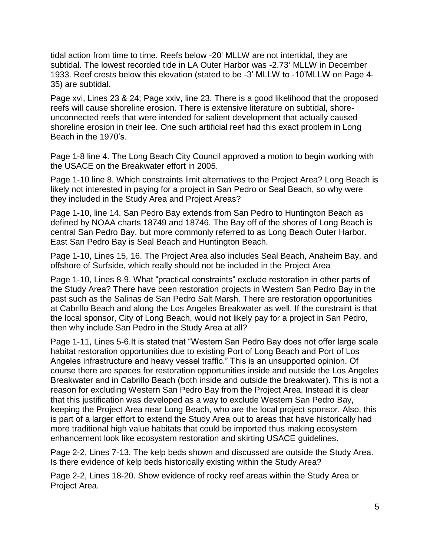tidal action from time to time. Reefs below -20' MLLW are not intertidal, they are subtidal. The lowest recorded tide in LA Outer Harbor was -2.73' MLLW in December 1933. Reef crests below this elevation (stated to be -3' MLLW to -10'MLLW on Page 4- 35) are subtidal.

Page xvi, Lines 23 & 24; Page xxiv, line 23. There is a good likelihood that the proposed reefs will cause shoreline erosion. There is extensive literature on subtidal, shoreunconnected reefs that were intended for salient development that actually caused shoreline erosion in their lee. One such artificial reef had this exact problem in Long Beach in the 1970's.

Page 1-8 line 4. The Long Beach City Council approved a motion to begin working with the USACE on the Breakwater effort in 2005.

Page 1-10 line 8. Which constraints limit alternatives to the Project Area? Long Beach is likely not interested in paying for a project in San Pedro or Seal Beach, so why were they included in the Study Area and Project Areas?

Page 1-10, line 14. San Pedro Bay extends from San Pedro to Huntington Beach as defined by NOAA charts 18749 and 18746. The Bay off of the shores of Long Beach is central San Pedro Bay, but more commonly referred to as Long Beach Outer Harbor. East San Pedro Bay is Seal Beach and Huntington Beach.

Page 1-10, Lines 15, 16. The Project Area also includes Seal Beach, Anaheim Bay, and offshore of Surfside, which really should not be included in the Project Area

Page 1-10, Lines 8-9. What "practical constraints" exclude restoration in other parts of the Study Area? There have been restoration projects in Western San Pedro Bay in the past such as the Salinas de San Pedro Salt Marsh. There are restoration opportunities at Cabrillo Beach and along the Los Angeles Breakwater as well. If the constraint is that the local sponsor, City of Long Beach, would not likely pay for a project in San Pedro, then why include San Pedro in the Study Area at all?

Page 1-11, Lines 5-6.It is stated that "Western San Pedro Bay does not offer large scale habitat restoration opportunities due to existing Port of Long Beach and Port of Los Angeles infrastructure and heavy vessel traffic." This is an unsupported opinion. Of course there are spaces for restoration opportunities inside and outside the Los Angeles Breakwater and in Cabrillo Beach (both inside and outside the breakwater). This is not a reason for excluding Western San Pedro Bay from the Project Area. Instead it is clear that this justification was developed as a way to exclude Western San Pedro Bay, keeping the Project Area near Long Beach, who are the local project sponsor. Also, this is part of a larger effort to extend the Study Area out to areas that have historically had more traditional high value habitats that could be imported thus making ecosystem enhancement look like ecosystem restoration and skirting USACE guidelines.

Page 2-2, Lines 7-13. The kelp beds shown and discussed are outside the Study Area. Is there evidence of kelp beds historically existing within the Study Area?

Page 2-2, Lines 18-20. Show evidence of rocky reef areas within the Study Area or Project Area.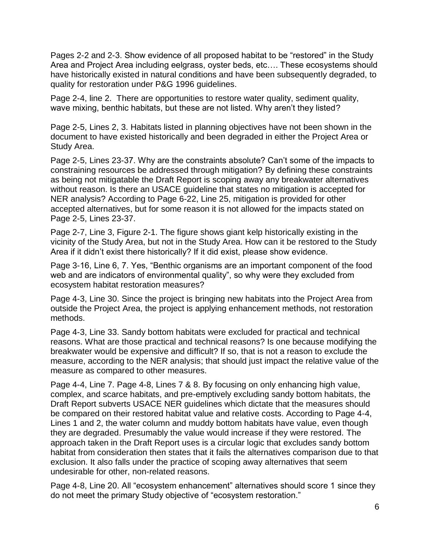Pages 2-2 and 2-3. Show evidence of all proposed habitat to be "restored" in the Study Area and Project Area including eelgrass, oyster beds, etc…. These ecosystems should have historically existed in natural conditions and have been subsequently degraded, to quality for restoration under P&G 1996 guidelines.

Page 2-4, line 2. There are opportunities to restore water quality, sediment quality, wave mixing, benthic habitats, but these are not listed. Why aren't they listed?

Page 2-5, Lines 2, 3. Habitats listed in planning objectives have not been shown in the document to have existed historically and been degraded in either the Project Area or Study Area.

Page 2-5, Lines 23-37. Why are the constraints absolute? Can't some of the impacts to constraining resources be addressed through mitigation? By defining these constraints as being not mitigatable the Draft Report is scoping away any breakwater alternatives without reason. Is there an USACE guideline that states no mitigation is accepted for NER analysis? According to Page 6-22, Line 25, mitigation is provided for other accepted alternatives, but for some reason it is not allowed for the impacts stated on Page 2-5, Lines 23-37.

Page 2-7, Line 3, Figure 2-1. The figure shows giant kelp historically existing in the vicinity of the Study Area, but not in the Study Area. How can it be restored to the Study Area if it didn't exist there historically? If it did exist, please show evidence.

Page 3-16, Line 6, 7. Yes, "Benthic organisms are an important component of the food web and are indicators of environmental quality", so why were they excluded from ecosystem habitat restoration measures?

Page 4-3, Line 30. Since the project is bringing new habitats into the Project Area from outside the Project Area, the project is applying enhancement methods, not restoration methods.

Page 4-3, Line 33. Sandy bottom habitats were excluded for practical and technical reasons. What are those practical and technical reasons? Is one because modifying the breakwater would be expensive and difficult? If so, that is not a reason to exclude the measure, according to the NER analysis; that should just impact the relative value of the measure as compared to other measures.

Page 4-4, Line 7. Page 4-8, Lines 7 & 8. By focusing on only enhancing high value, complex, and scarce habitats, and pre-emptively excluding sandy bottom habitats, the Draft Report subverts USACE NER guidelines which dictate that the measures should be compared on their restored habitat value and relative costs. According to Page 4-4, Lines 1 and 2, the water column and muddy bottom habitats have value, even though they are degraded. Presumably the value would increase if they were restored. The approach taken in the Draft Report uses is a circular logic that excludes sandy bottom habitat from consideration then states that it fails the alternatives comparison due to that exclusion. It also falls under the practice of scoping away alternatives that seem undesirable for other, non-related reasons.

Page 4-8, Line 20. All "ecosystem enhancement" alternatives should score 1 since they do not meet the primary Study objective of "ecosystem restoration."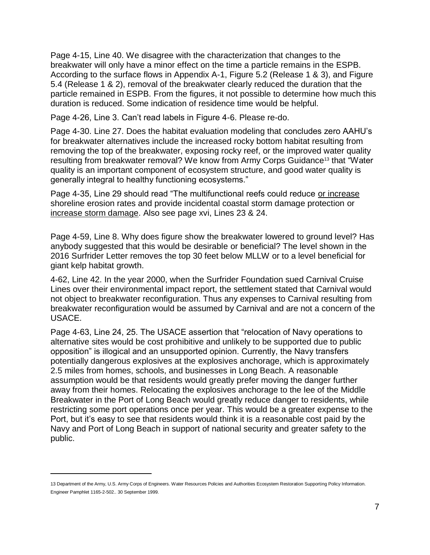Page 4-15, Line 40. We disagree with the characterization that changes to the breakwater will only have a minor effect on the time a particle remains in the ESPB. According to the surface flows in Appendix A-1, Figure 5.2 (Release 1 & 3), and Figure 5.4 (Release 1 & 2), removal of the breakwater clearly reduced the duration that the particle remained in ESPB. From the figures, it not possible to determine how much this duration is reduced. Some indication of residence time would be helpful.

Page 4-26, Line 3. Can't read labels in Figure 4-6. Please re-do.

Page 4-30. Line 27. Does the habitat evaluation modeling that concludes zero AAHU's for breakwater alternatives include the increased rocky bottom habitat resulting from removing the top of the breakwater, exposing rocky reef, or the improved water quality resulting from breakwater removal? We know from Army Corps Guidance<sup>13</sup> that "Water quality is an important component of ecosystem structure, and good water quality is generally integral to healthy functioning ecosystems."

Page 4-35, Line 29 should read "The multifunctional reefs could reduce or increase shoreline erosion rates and provide incidental coastal storm damage protection or increase storm damage. Also see page xvi, Lines 23 & 24.

Page 4-59, Line 8. Why does figure show the breakwater lowered to ground level? Has anybody suggested that this would be desirable or beneficial? The level shown in the 2016 Surfrider Letter removes the top 30 feet below MLLW or to a level beneficial for giant kelp habitat growth.

4-62, Line 42. In the year 2000, when the Surfrider Foundation sued Carnival Cruise Lines over their environmental impact report, the settlement stated that Carnival would not object to breakwater reconfiguration. Thus any expenses to Carnival resulting from breakwater reconfiguration would be assumed by Carnival and are not a concern of the USACE.

Page 4-63, Line 24, 25. The USACE assertion that "relocation of Navy operations to alternative sites would be cost prohibitive and unlikely to be supported due to public opposition" is illogical and an unsupported opinion. Currently, the Navy transfers potentially dangerous explosives at the explosives anchorage, which is approximately 2.5 miles from homes, schools, and businesses in Long Beach. A reasonable assumption would be that residents would greatly prefer moving the danger further away from their homes. Relocating the explosives anchorage to the lee of the Middle Breakwater in the Port of Long Beach would greatly reduce danger to residents, while restricting some port operations once per year. This would be a greater expense to the Port, but it's easy to see that residents would think it is a reasonable cost paid by the Navy and Port of Long Beach in support of national security and greater safety to the public.

 $\overline{a}$ 

<sup>13</sup> Department of the Army, U.S. Army Corps of Engineers. Water Resources Policies and Authorities Ecosystem Restoration Supporting Policy Information. Engineer Pamphlet 1165-2-502.. 30 September 1999.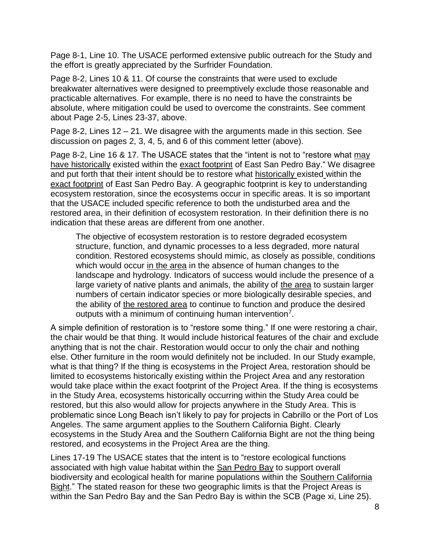Page 8-1, Line 10. The USACE performed extensive public outreach for the Study and the effort is greatly appreciated by the Surfrider Foundation.

Page 8-2, Lines 10 & 11. Of course the constraints that were used to exclude breakwater alternatives were designed to preemptively exclude those reasonable and practicable alternatives. For example, there is no need to have the constraints be absolute, where mitigation could be used to overcome the constraints. See comment about Page 2-5, Lines 23-37, above.

Page 8-2, Lines 12 – 21. We disagree with the arguments made in this section. See discussion on pages 2, 3, 4, 5, and 6 of this comment letter (above).

Page 8-2, Line 16 & 17. The USACE states that the "intent is not to "restore what may have historically existed within the exact footprint of East San Pedro Bay." We disagree and put forth that their intent should be to restore what historically existed within the exact footprint of East San Pedro Bay. A geographic footprint is key to understanding ecosystem restoration, since the ecosystems occur in specific areas. It is so important that the USACE included specific reference to both the undisturbed area and the restored area, in their definition of ecosystem restoration. In their definition there is no indication that these areas are different from one another.

The objective of ecosystem restoration is to restore degraded ecosystem structure, function, and dynamic processes to a less degraded, more natural condition. Restored ecosystems should mimic, as closely as possible, conditions which would occur in the area in the absence of human changes to the landscape and hydrology. Indicators of success would include the presence of a large variety of native plants and animals, the ability of the area to sustain larger numbers of certain indicator species or more biologically desirable species, and the ability of the restored area to continue to function and produce the desired outputs with a minimum of continuing human intervention<sup>7</sup>.

A simple definition of restoration is to "restore some thing." If one were restoring a chair, the chair would be that thing. It would include historical features of the chair and exclude anything that is not the chair. Restoration would occur to only the chair and nothing else. Other furniture in the room would definitely not be included. In our Study example, what is that thing? If the thing is ecosystems in the Project Area, restoration should be limited to ecosystems historically existing within the Project Area and any restoration would take place within the exact footprint of the Project Area. If the thing is ecosystems in the Study Area, ecosystems historically occurring within the Study Area could be restored, but this also would allow for projects anywhere in the Study Area. This is problematic since Long Beach isn't likely to pay for projects in Cabrillo or the Port of Los Angeles. The same argument applies to the Southern California Bight. Clearly ecosystems in the Study Area and the Southern California Bight are not the thing being restored, and ecosystems in the Project Area are the thing.

Lines 17-19 The USACE states that the intent is to "restore ecological functions associated with high value habitat within the San Pedro Bay to support overall biodiversity and ecological health for marine populations within the Southern California Bight." The stated reason for these two geographic limits is that the Project Areas is within the San Pedro Bay and the San Pedro Bay is within the SCB (Page xi, Line 25).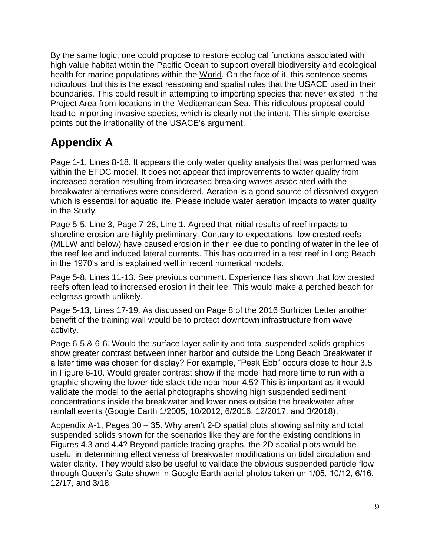By the same logic, one could propose to restore ecological functions associated with high value habitat within the **Pacific Ocean** to support overall biodiversity and ecological health for marine populations within the World. On the face of it, this sentence seems ridiculous, but this is the exact reasoning and spatial rules that the USACE used in their boundaries. This could result in attempting to importing species that never existed in the Project Area from locations in the Mediterranean Sea. This ridiculous proposal could lead to importing invasive species, which is clearly not the intent. This simple exercise points out the irrationality of the USACE's argument.

# **Appendix A**

Page 1-1, Lines 8-18. It appears the only water quality analysis that was performed was within the EFDC model. It does not appear that improvements to water quality from increased aeration resulting from increased breaking waves associated with the breakwater alternatives were considered. Aeration is a good source of dissolved oxygen which is essential for aquatic life. Please include water aeration impacts to water quality in the Study.

Page 5-5, Line 3, Page 7-28, Line 1. Agreed that initial results of reef impacts to shoreline erosion are highly preliminary. Contrary to expectations, low crested reefs (MLLW and below) have caused erosion in their lee due to ponding of water in the lee of the reef lee and induced lateral currents. This has occurred in a test reef in Long Beach in the 1970's and is explained well in recent numerical models.

Page 5-8, Lines 11-13. See previous comment. Experience has shown that low crested reefs often lead to increased erosion in their lee. This would make a perched beach for eelgrass growth unlikely.

Page 5-13, Lines 17-19. As discussed on Page 8 of the 2016 Surfrider Letter another benefit of the training wall would be to protect downtown infrastructure from wave activity.

Page 6-5 & 6-6. Would the surface layer salinity and total suspended solids graphics show greater contrast between inner harbor and outside the Long Beach Breakwater if a later time was chosen for display? For example, "Peak Ebb" occurs close to hour 3.5 in Figure 6-10. Would greater contrast show if the model had more time to run with a graphic showing the lower tide slack tide near hour 4.5? This is important as it would validate the model to the aerial photographs showing high suspended sediment concentrations inside the breakwater and lower ones outside the breakwater after rainfall events (Google Earth 1/2005, 10/2012, 6/2016, 12/2017, and 3/2018).

Appendix A-1, Pages 30 – 35. Why aren't 2-D spatial plots showing salinity and total suspended solids shown for the scenarios like they are for the existing conditions in Figures 4.3 and 4.4? Beyond particle tracing graphs, the 2D spatial plots would be useful in determining effectiveness of breakwater modifications on tidal circulation and water clarity. They would also be useful to validate the obvious suspended particle flow through Queen's Gate shown in Google Earth aerial photos taken on 1/05, 10/12, 6/16, 12/17, and 3/18.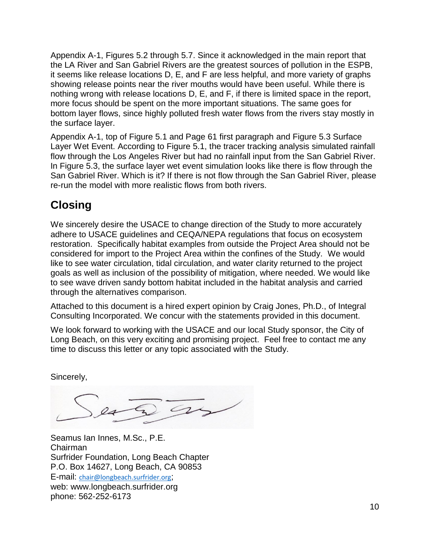Appendix A-1, Figures 5.2 through 5.7. Since it acknowledged in the main report that the LA River and San Gabriel Rivers are the greatest sources of pollution in the ESPB, it seems like release locations D, E, and F are less helpful, and more variety of graphs showing release points near the river mouths would have been useful. While there is nothing wrong with release locations D, E, and F, if there is limited space in the report, more focus should be spent on the more important situations. The same goes for bottom layer flows, since highly polluted fresh water flows from the rivers stay mostly in the surface layer.

Appendix A-1, top of Figure 5.1 and Page 61 first paragraph and Figure 5.3 Surface Layer Wet Event. According to Figure 5.1, the tracer tracking analysis simulated rainfall flow through the Los Angeles River but had no rainfall input from the San Gabriel River. In Figure 5.3, the surface layer wet event simulation looks like there is flow through the San Gabriel River. Which is it? If there is not flow through the San Gabriel River, please re-run the model with more realistic flows from both rivers.

## **Closing**

We sincerely desire the USACE to change direction of the Study to more accurately adhere to USACE guidelines and CEQA/NEPA regulations that focus on ecosystem restoration. Specifically habitat examples from outside the Project Area should not be considered for import to the Project Area within the confines of the Study. We would like to see water circulation, tidal circulation, and water clarity returned to the project goals as well as inclusion of the possibility of mitigation, where needed. We would like to see wave driven sandy bottom habitat included in the habitat analysis and carried through the alternatives comparison.

Attached to this document is a hired expert opinion by Craig Jones, Ph.D., of Integral Consulting Incorporated. We concur with the statements provided in this document.

We look forward to working with the USACE and our local Study sponsor, the City of Long Beach, on this very exciting and promising project. Feel free to contact me any time to discuss this letter or any topic associated with the Study.

Sincerely,

Seamus Ian Innes, M.Sc., P.E. Chairman Surfrider Foundation, Long Beach Chapter P.O. Box 14627, Long Beach, CA 90853 E-mail: [chair@longbeach.surfrider.org](mailto:chair@longbeach.surfrider.org); web: www.longbeach.surfrider.org phone: 562-252-6173